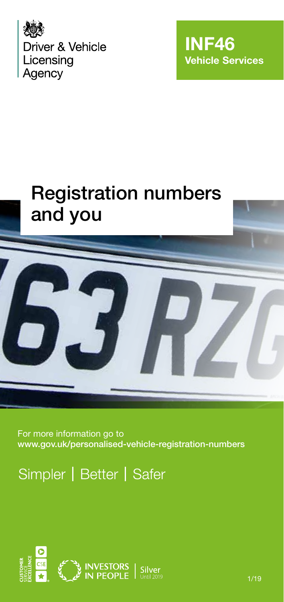



# Registration numbers and you



For more information go to www.gov.uk/personalised-vehicle-registration-numbers

Simpler | Better | Safer

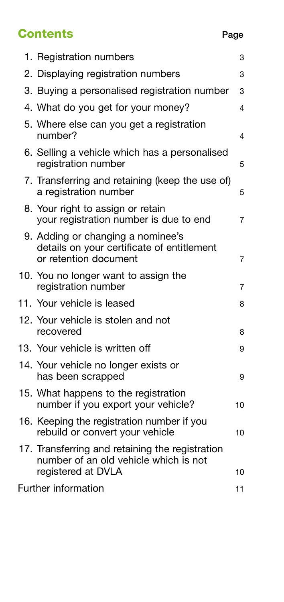# **Contents** Page

| 3                                                    |
|------------------------------------------------------|
| 3                                                    |
| 3. Buying a personalised registration number<br>3    |
| 4                                                    |
| 4                                                    |
| 5                                                    |
| 7. Transferring and retaining (keep the use of)<br>5 |
| 7                                                    |
| 7                                                    |
| 7                                                    |
| 8                                                    |
| 8                                                    |
| 9                                                    |
| 9                                                    |
| 10                                                   |
| 10                                                   |
| 10                                                   |
| 11                                                   |
|                                                      |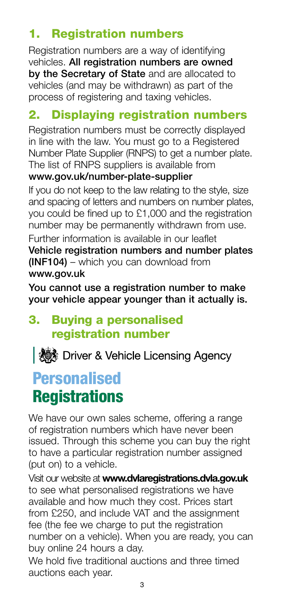# 1. Registration numbers

Registration numbers are a way of identifying vehicles. All registration numbers are owned by the Secretary of State and are allocated to vehicles (and may be withdrawn) as part of the process of registering and taxing vehicles.

# 2. Displaying registration numbers

Registration numbers must be correctly displayed in line with the law. You must go to a Registered Number Plate Supplier (RNPS) to get a number plate. The list of RNPS suppliers is available from

#### www.gov.uk/number-plate-supplier

If you do not keep to the law relating to the style, size and spacing of letters and numbers on number plates, you could be fined up to £1,000 and the registration number may be permanently withdrawn from use.

Further information is available in our leaflet Vehicle registration numbers and number plates (INF104) – which you can download from www.gov.uk

You cannot use a registration number to make your vehicle appear younger than it actually is.

# 3. Buying a personalised registration number

| ※※ Driver & Vehicle Licensing Agency

# Personalised **Registrations**

We have our own sales scheme, offering a range of registration numbers which have never been issued. Through this scheme you can buy the right to have a particular registration number assigned (put on) to a vehicle.

Visit our website at **www.dvlaregistrations.dvla.gov.uk** to see what personalised registrations we have available and how much they cost. Prices start from £250, and include VAT and the assignment fee (the fee we charge to put the registration number on a vehicle). When you are ready, you can buy online 24 hours a day.

We hold five traditional auctions and three timed auctions each year.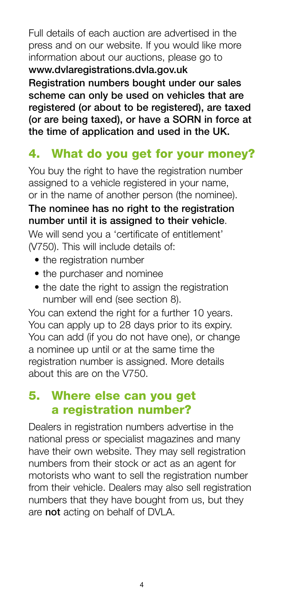Full details of each auction are advertised in the press and on our website. If you would like more information about our auctions, please go to www.dvlaregistrations.dvla.gov.uk

Registration numbers bought under our sales scheme can only be used on vehicles that are registered (or about to be registered), are taxed (or are being taxed), or have a SORN in force at the time of application and used in the UK.

# 4. What do you get for your money?

You buy the right to have the registration number assigned to a vehicle registered in your name, or in the name of another person (the nominee).

#### The nominee has no right to the registration number until it is assigned to their vehicle.

We will send you a 'certificate of entitlement' (V750). This will include details of:

- the registration number
- the purchaser and nominee
- the date the right to assign the registration number will end (see section 8).

You can extend the right for a further 10 years. You can apply up to 28 days prior to its expiry. You can add (if you do not have one), or change a nominee up until or at the same time the registration number is assigned. More details about this are on the V750.

# 5. Where else can you get a registration number?

Dealers in registration numbers advertise in the national press or specialist magazines and many have their own website. They may sell registration numbers from their stock or act as an agent for motorists who want to sell the registration number from their vehicle. Dealers may also sell registration numbers that they have bought from us, but they are not acting on behalf of DVLA.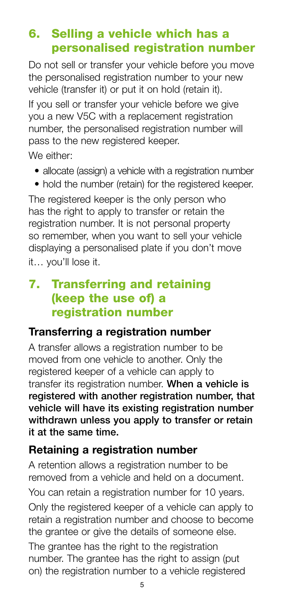# 6. Selling a vehicle which has a personalised registration number

Do not sell or transfer your vehicle before you move the personalised registration number to your new vehicle (transfer it) or put it on hold (retain it).

If you sell or transfer your vehicle before we give you a new V5C with a replacement registration number, the personalised registration number will pass to the new registered keeper.

We either:

- allocate (assign) a vehicle with a registration number
- hold the number (retain) for the registered keeper.

The registered keeper is the only person who has the right to apply to transfer or retain the registration number. It is not personal property so remember, when you want to sell your vehicle displaying a personalised plate if you don't move it… you'll lose it.

# 7. Transferring and retaining (keep the use of) a registration number

#### **Transferring a registration number**

A transfer allows a registration number to be moved from one vehicle to another. Only the registered keeper of a vehicle can apply to transfer its registration number. When a vehicle is registered with another registration number, that vehicle will have its existing registration number withdrawn unless you apply to transfer or retain it at the same time.

#### **Retaining a registration number**

A retention allows a registration number to be removed from a vehicle and held on a document.

You can retain a registration number for 10 years.

Only the registered keeper of a vehicle can apply to retain a registration number and choose to become the grantee or give the details of someone else.

The grantee has the right to the registration number. The grantee has the right to assign (put on) the registration number to a vehicle registered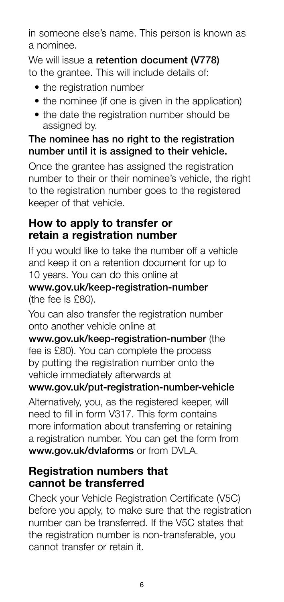in someone else's name. This person is known as a nominee.

We will issue a retention document (V778) to the grantee. This will include details of:

- the registration number
- the nominee (if one is given in the application)
- the date the registration number should be assigned by.

#### The nominee has no right to the registration number until it is assigned to their vehicle.

Once the grantee has assigned the registration number to their or their nominee's vehicle, the right to the registration number goes to the registered keeper of that vehicle.

## **How to apply to transfer or retain a registration number**

If you would like to take the number off a vehicle and keep it on a retention document for up to 10 years. You can do this online at

#### www.gov.uk/keep-registration-number (the fee is £80).

You can also transfer the registration number onto another vehicle online at

www.gov.uk/keep-registration-number (the fee is £80). You can complete the process by putting the registration number onto the vehicle immediately afterwards at

#### www.gov.uk/put-registration-number-vehicle

Alternatively, you, as the registered keeper, will need to fill in form V317. This form contains more information about transferring or retaining a registration number. You can get the form from www.gov.uk/dvlaforms or from DVLA.

#### **Registration numbers that cannot be transferred**

Check your Vehicle Registration Certificate (V5C) before you apply, to make sure that the registration number can be transferred. If the V5C states that the registration number is non-transferable, you cannot transfer or retain it.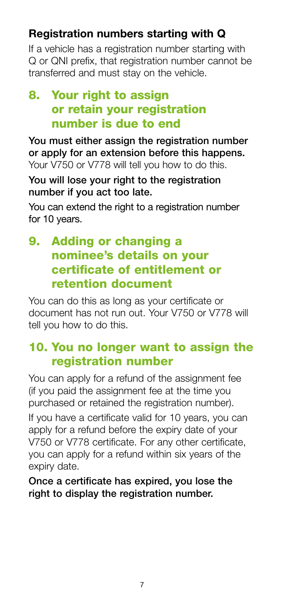# **Registration numbers starting with Q**

If a vehicle has a registration number starting with Q or QNI prefix, that registration number cannot be transferred and must stay on the vehicle.

# 8. Your right to assign or retain your registration number is due to end

You must either assign the registration number or apply for an extension before this happens. Your V750 or V778 will tell you how to do this.

You will lose your right to the registration number if you act too late.

You can extend the right to a registration number for 10 years.

# 9. Adding or changing a nominee's details on your certificate of entitlement or retention document

You can do this as long as your certificate or document has not run out. Your V750 or V778 will tell you how to do this.

# 10. You no longer want to assign the registration number

You can apply for a refund of the assignment fee (if you paid the assignment fee at the time you purchased or retained the registration number).

If you have a certificate valid for 10 years, you can apply for a refund before the expiry date of your V750 or V778 certificate. For any other certificate, you can apply for a refund within six years of the expiry date.

Once a certificate has expired, you lose the right to display the registration number.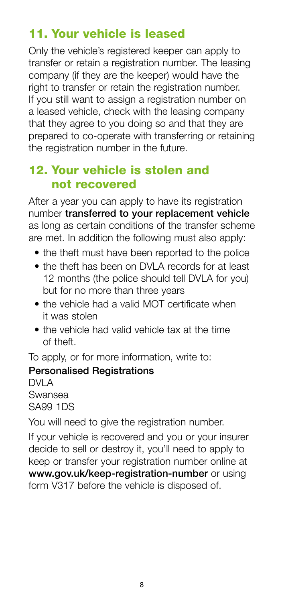# 11. Your vehicle is leased

Only the vehicle's registered keeper can apply to transfer or retain a registration number. The leasing company (if they are the keeper) would have the right to transfer or retain the registration number. If you still want to assign a registration number on a leased vehicle, check with the leasing company that they agree to you doing so and that they are prepared to co-operate with transferring or retaining the registration number in the future.

### 12. Your vehicle is stolen and not recovered

After a year you can apply to have its registration number transferred to your replacement vehicle as long as certain conditions of the transfer scheme are met. In addition the following must also apply:

- the theft must have been reported to the police
- the theft has been on DVLA records for at least 12 months (the police should tell DVLA for you) but for no more than three years
- the vehicle had a valid MOT certificate when it was stolen
- the vehicle had valid vehicle tax at the time of theft.

To apply, or for more information, write to:

#### Personalised Registrations

DVI A Swansea SA99 1DS

You will need to give the registration number.

If your vehicle is recovered and you or your insurer decide to sell or destroy it, you'll need to apply to keep or transfer your registration number online at www.gov.uk/keep-registration-number or using form V317 before the vehicle is disposed of.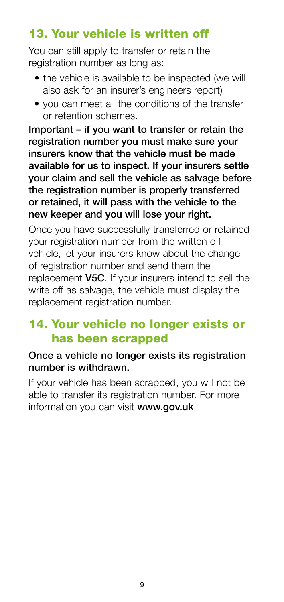# 13. Your vehicle is written off

You can still apply to transfer or retain the registration number as long as:

- the vehicle is available to be inspected (we will also ask for an insurer's engineers report)
- you can meet all the conditions of the transfer or retention schemes.

Important – if you want to transfer or retain the registration number you must make sure your insurers know that the vehicle must be made available for us to inspect. If your insurers settle your claim and sell the vehicle as salvage before the registration number is properly transferred or retained, it will pass with the vehicle to the new keeper and you will lose your right.

Once you have successfully transferred or retained your registration number from the written off vehicle, let your insurers know about the change of registration number and send them the replacement V5C. If your insurers intend to sell the write off as salvage, the vehicle must display the replacement registration number.

# 14. Your vehicle no longer exists or has been scrapped

#### Once a vehicle no longer exists its registration number is withdrawn.

If your vehicle has been scrapped, you will not be able to transfer its registration number. For more information you can visit <www.gov.uk>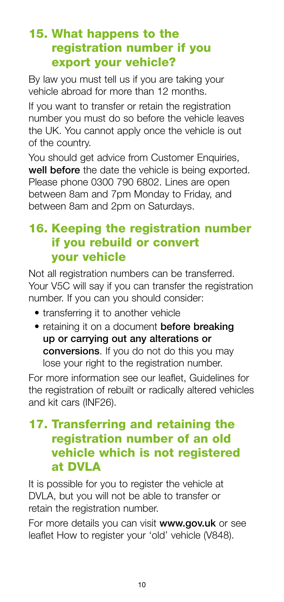# 15. What happens to the registration number if you export your vehicle?

By law you must tell us if you are taking your vehicle abroad for more than 12 months.

If you want to transfer or retain the registration number you must do so before the vehicle leaves the UK. You cannot apply once the vehicle is out of the country.

You should get advice from Customer Enquiries, well before the date the vehicle is being exported. Please phone 0300 790 6802. Lines are open between 8am and 7pm Monday to Friday, and between 8am and 2pm on Saturdays.

# 16. Keeping the registration number if you rebuild or convert your vehicle

Not all registration numbers can be transferred. Your V5C will say if you can transfer the registration number. If you can you should consider:

- transferring it to another vehicle
- retaining it on a document **before breaking** up or carrying out any alterations or conversions. If you do not do this you may lose your right to the registration number.

For more information see our leaflet, Guidelines for the registration of rebuilt or radically altered vehicles and kit cars (INF26).

# 17. Transferring and retaining the registration number of an old vehicle which is not registered at DVLA

It is possible for you to register the vehicle at DVLA, but you will not be able to transfer or retain the registration number.

For more details you can visit www.gov.uk or see leaflet How to register your 'old' vehicle (V848).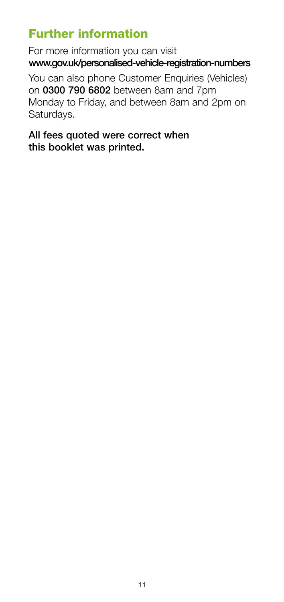# Further information

For more information you can visit www.gov.uk/personalised-vehicle-registration-numbers

You can also phone Customer Enquiries (Vehicles) on 0300 790 6802 between 8am and 7pm Monday to Friday, and between 8am and 2pm on Saturdays.

#### All fees quoted were correct when this booklet was printed.